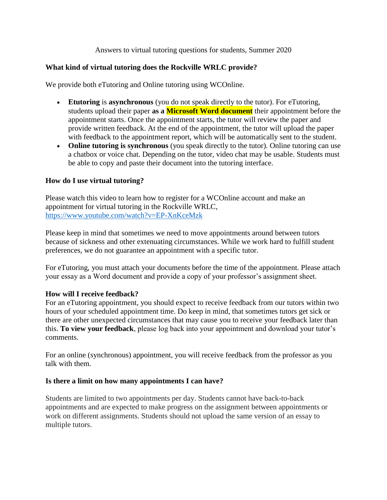### Answers to virtual tutoring questions for students, Summer 2020

# **What kind of virtual tutoring does the Rockville WRLC provide?**

We provide both eTutoring and Online tutoring using WCOnline.

- **Etutoring** is **asynchronous** (you do not speak directly to the tutor). For eTutoring, students upload their paper **as a Microsoft Word document** their appointment before the appointment starts. Once the appointment starts, the tutor will review the paper and provide written feedback. At the end of the appointment, the tutor will upload the paper with feedback to the appointment report, which will be automatically sent to the student.
- **Online tutoring is synchronous** (you speak directly to the tutor). Online tutoring can use a chatbox or voice chat. Depending on the tutor, video chat may be usable. Students must be able to copy and paste their document into the tutoring interface.

#### **How do I use virtual tutoring?**

Please watch this video to learn how to register for a WCOnline account and make an appointment for virtual tutoring in the Rockville WRLC, <https://www.youtube.com/watch?v=EP-XnKceMzk>

Please keep in mind that sometimes we need to move appointments around between tutors because of sickness and other extenuating circumstances. While we work hard to fulfill student preferences, we do not guarantee an appointment with a specific tutor.

For eTutoring, you must attach your documents before the time of the appointment. Please attach your essay as a Word document and provide a copy of your professor's assignment sheet.

#### **How will I receive feedback?**

For an eTutoring appointment, you should expect to receive feedback from our tutors within two hours of your scheduled appointment time. Do keep in mind, that sometimes tutors get sick or there are other unexpected circumstances that may cause you to receive your feedback later than this. **To view your feedback**, please log back into your appointment and download your tutor's comments.

For an online (synchronous) appointment, you will receive feedback from the professor as you talk with them.

#### **Is there a limit on how many appointments I can have?**

Students are limited to two appointments per day. Students cannot have back-to-back appointments and are expected to make progress on the assignment between appointments or work on different assignments. Students should not upload the same version of an essay to multiple tutors.